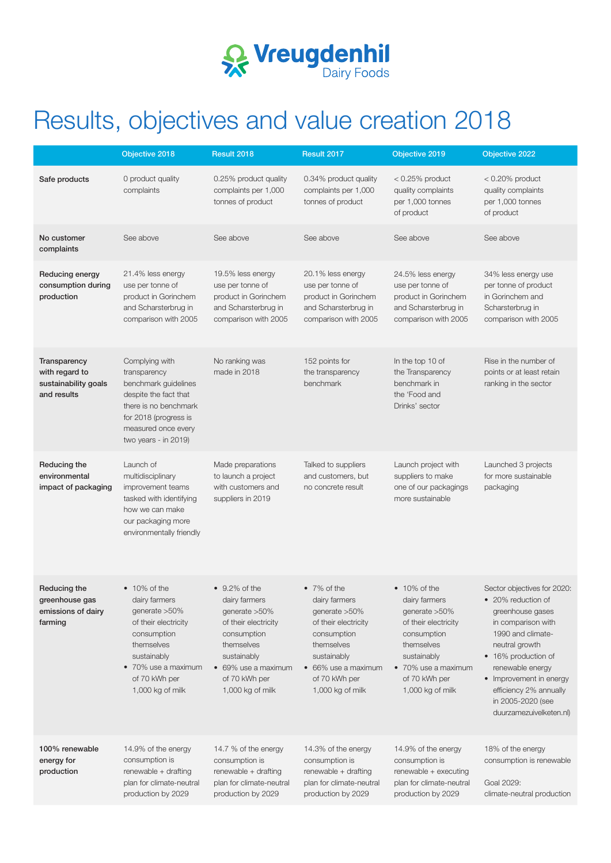

# Results, objectives and value creation 2018

|                                                                       | Objective 2018                                                                                                                                                                          | Result 2018                                                                                                                                                                                | Result 2017                                                                                                                                                                            | Objective 2019                                                                                                                                                                          | Objective 2022                                                                                                                                                                                                                                                                     |
|-----------------------------------------------------------------------|-----------------------------------------------------------------------------------------------------------------------------------------------------------------------------------------|--------------------------------------------------------------------------------------------------------------------------------------------------------------------------------------------|----------------------------------------------------------------------------------------------------------------------------------------------------------------------------------------|-----------------------------------------------------------------------------------------------------------------------------------------------------------------------------------------|------------------------------------------------------------------------------------------------------------------------------------------------------------------------------------------------------------------------------------------------------------------------------------|
| Safe products                                                         | 0 product quality<br>complaints                                                                                                                                                         | 0.25% product quality<br>complaints per 1,000<br>tonnes of product                                                                                                                         | 0.34% product quality<br>complaints per 1,000<br>tonnes of product                                                                                                                     | $< 0.25\%$ product<br>quality complaints<br>per 1,000 tonnes<br>of product                                                                                                              | $< 0.20\%$ product<br>quality complaints<br>per 1,000 tonnes<br>of product                                                                                                                                                                                                         |
| No customer<br>complaints                                             | See above                                                                                                                                                                               | See above                                                                                                                                                                                  | See above                                                                                                                                                                              | See above                                                                                                                                                                               | See above                                                                                                                                                                                                                                                                          |
| Reducing energy<br>consumption during<br>production                   | 21.4% less energy<br>use per tonne of<br>product in Gorinchem<br>and Scharsterbrug in<br>comparison with 2005                                                                           | 19.5% less energy<br>use per tonne of<br>product in Gorinchem<br>and Scharsterbrug in<br>comparison with 2005                                                                              | 20.1% less energy<br>use per tonne of<br>product in Gorinchem<br>and Scharsterbrug in<br>comparison with 2005                                                                          | 24.5% less energy<br>use per tonne of<br>product in Gorinchem<br>and Scharsterbrug in<br>comparison with 2005                                                                           | 34% less energy use<br>per tonne of product<br>in Gorinchem and<br>Scharsterbrug in<br>comparison with 2005                                                                                                                                                                        |
| Transparency<br>with regard to<br>sustainability goals<br>and results | Complying with<br>transparency<br>benchmark guidelines<br>despite the fact that<br>there is no benchmark<br>for 2018 (progress is<br>measured once every<br>two years - in 2019)        | No ranking was<br>made in 2018                                                                                                                                                             | 152 points for<br>the transparency<br>benchmark                                                                                                                                        | In the top 10 of<br>the Transparency<br>benchmark in<br>the 'Food and<br>Drinks' sector                                                                                                 | Rise in the number of<br>points or at least retain<br>ranking in the sector                                                                                                                                                                                                        |
| Reducing the<br>environmental<br>impact of packaging                  | Launch of<br>multidisciplinary<br>improvement teams<br>tasked with identifying<br>how we can make<br>our packaging more<br>environmentally friendly                                     | Made preparations<br>to launch a project<br>with customers and<br>suppliers in 2019                                                                                                        | Talked to suppliers<br>and customers, but<br>no concrete result                                                                                                                        | Launch project with<br>suppliers to make<br>one of our packagings<br>more sustainable                                                                                                   | Launched 3 projects<br>for more sustainable<br>packaging                                                                                                                                                                                                                           |
| Reducing the<br>greenhouse gas<br>emissions of dairy<br>farming       | $\bullet$ 10% of the<br>dairy farmers<br>generate > 50%<br>of their electricity<br>consumption<br>themselves<br>sustainably<br>• 70% use a maximum<br>of 70 kWh per<br>1,000 kg of milk | $\bullet$ 9.2% of the<br>dairy farmers<br>generate > 50%<br>of their electricity<br>consumption<br>themselves<br>sustainably<br>• 69% use a maximum<br>of 70 kWh per<br>$1,000$ kg of milk | $\bullet$ 7% of the<br>dairy farmers<br>generate > 50%<br>of their electricity<br>consumption<br>themselves<br>sustainably<br>• 66% use a maximum<br>of 70 kWh per<br>1,000 kg of milk | $\bullet$ 10% of the<br>dairy farmers<br>generate > 50%<br>of their electricity<br>consumption<br>themselves<br>sustainably<br>• 70% use a maximum<br>of 70 kWh per<br>1,000 kg of milk | Sector objectives for 2020:<br>• 20% reduction of<br>greenhouse gases<br>in comparison with<br>1990 and climate-<br>neutral growth<br>• 16% production of<br>renewable energy<br>• Improvement in energy<br>efficiency 2% annually<br>in 2005-2020 (see<br>duurzamezuivelketen.nl) |
| 100% renewable<br>energy for<br>production                            | 14.9% of the energy<br>consumption is<br>renewable + drafting<br>plan for climate-neutral<br>production by 2029                                                                         | 14.7 % of the energy<br>consumption is<br>renewable + drafting<br>plan for climate-neutral<br>production by 2029                                                                           | 14.3% of the energy<br>consumption is<br>renewable + drafting<br>plan for climate-neutral<br>production by 2029                                                                        | 14.9% of the energy<br>consumption is<br>renewable + executing<br>plan for climate-neutral<br>production by 2029                                                                        | 18% of the energy<br>consumption is renewable<br>Goal 2029:<br>climate-neutral production                                                                                                                                                                                          |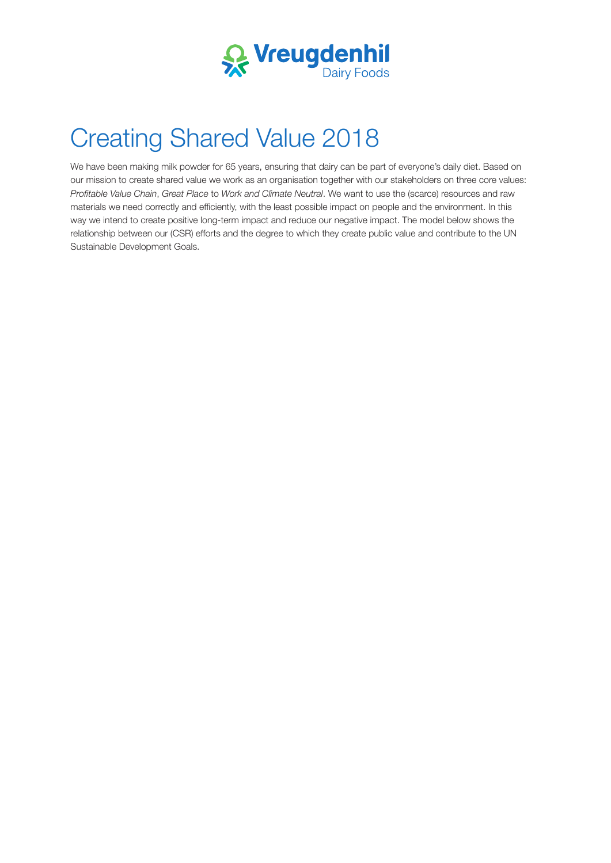

# Creating Shared Value 2018

We have been making milk powder for 65 years, ensuring that dairy can be part of everyone's daily diet. Based on our mission to create shared value we work as an organisation together with our stakeholders on three core values: *Proftable Value Chain*, *Great Place* to *Work and Climate Neutral*. We want to use the (scarce) resources and raw materials we need correctly and efficiently, with the least possible impact on people and the environment. In this way we intend to create positive long-term impact and reduce our negative impact. The model below shows the relationship between our (CSR) efforts and the degree to which they create public value and contribute to the UN Sustainable Development Goals.